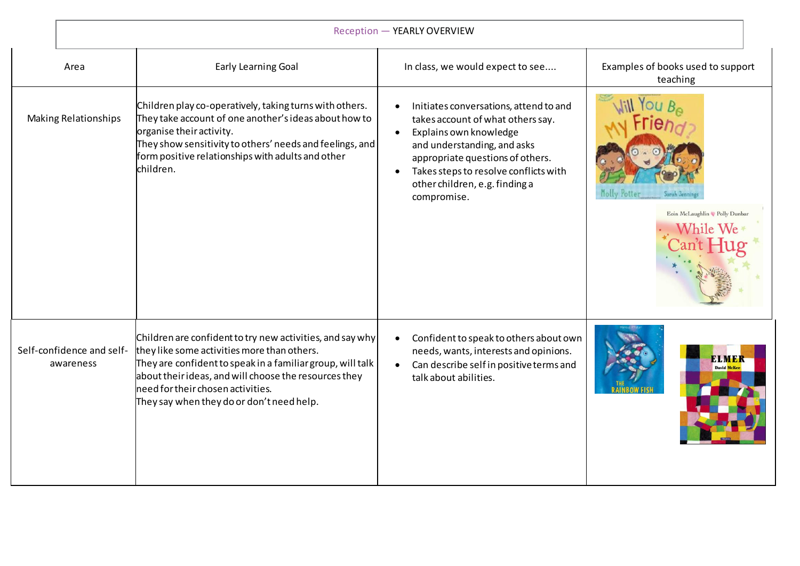| Reception - YEARLY OVERVIEW            |                                                                                                                                                                                                                                                                                                                   |                                                                                                                                                                                                                                                                                 |                                                |  |
|----------------------------------------|-------------------------------------------------------------------------------------------------------------------------------------------------------------------------------------------------------------------------------------------------------------------------------------------------------------------|---------------------------------------------------------------------------------------------------------------------------------------------------------------------------------------------------------------------------------------------------------------------------------|------------------------------------------------|--|
| Area                                   | <b>Early Learning Goal</b>                                                                                                                                                                                                                                                                                        | In class, we would expect to see                                                                                                                                                                                                                                                | Examples of books used to support<br>teaching  |  |
| <b>Making Relationships</b>            | Children play co-operatively, taking turns with others.<br>They take account of one another's ideas about how to<br>organise their activity.<br>They show sensitivity to others' needs and feelings, and<br>form positive relationships with adults and other<br>children.                                        | Initiates conversations, attend to and<br>takes account of what others say.<br>Explains own knowledge<br>$\bullet$<br>and understanding, and asks<br>appropriate questions of others.<br>Takes steps to resolve conflicts with<br>other children, e.g. finding a<br>compromise. | Molly Potter<br>Eoin McLaughlin V Polly Dunbar |  |
| Self-confidence and self-<br>awareness | Children are confident to try new activities, and say why<br>they like some activities more than others.<br>They are confident to speak in a familiar group, will talk<br>about their ideas, and will choose the resources they<br>need for their chosen activities.<br>They say when they do or don't need help. | Confident to speak to others about own<br>needs, wants, interests and opinions.<br>Can describe self in positive terms and<br>$\bullet$<br>talk about abilities.                                                                                                                | <b>David McK</b>                               |  |